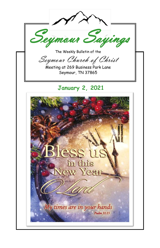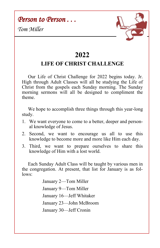*Person to Person . . .* 

*Tom Miller*



## **2022**

## **LIFE OF CHRIST CHALLENGE**

 Our Life of Christ Challenge for 2022 begins today. Jr. High through Adult Classes will all be studying the Life of Christ from the gospels each Sunday morning. The Sunday morning sermons will all be designed to compliment the theme.

We hope to accomplish three things through this year-long study.

- 1. We want everyone to come to a better, deeper and personal knowledge of Jesus.
- 2. Second, we want to encourage us all to use this knowledge to become more and more like Him each day.
- 3. Third, we want to prepare ourselves to share this knowledge of Him with a lost world.

 Each Sunday Adult Class will be taught by various men in the congregation. At present, that list for January is as follows:

> January 2—Tom Miller January 9—Tom Miller January 16—Jeff Whitaker January 23—John McBroom January 30—Jeff Cronin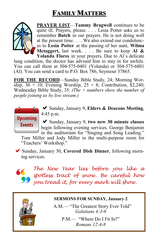# **FAMILY MATTERS**



**PRAYER LIST**—**Tammy Bragwell** continues to be quite ill. Prayers, please. . . . Lesia Potter asks us to remember **Butch** in our prayers. He is not doing well at the present time. . . . We also extend our condolences to **Lesia Potter** at the passing of her aunt, **Wilma Mctaggert,** last week. . . . Be sure to keep **Al & Yolanda Flores** in your prayers. Due to Al's delicate

lung condition, the doctor has advised him to stay in for awhile. You can call them at 304-575-0401 (Yolanda) or 304-575-6801 (Al). You can send a card to P.O. Box 786, Seymour 37865.

**FOR THE RECORD**—Sunday Bible Study, 24; Morning Worship,  $36 + 10$ ; Evening Worship,  $25 + 8$ ; Contribution, \$2,240; Wednesday Bible Study, 35. *(The + numbers show the number of people joining us by live stream.)*



Sunday, January 9, **Elders & Deacons Meeting**, 4:45 p.m.

Sunday, January 9, **two new 30 minute classes**  begin following evening services. George Benjamin in the auditorium for "Singing and Song Leading."

Tom Miller and Jody Miller in the multi-purpose room for "Teachers' Workshop."

Sunday, January 30, **Covered Dish Dinner**, following morning services.



*The New Year lies before you like a spotless tract of snow. Be careful how you tread it, for every mark will show.*



#### **SERMONS FOR SUNDAY, January 2**

A.M.— "The Greatest Story Ever Told" *Galatians 4:3-6*

> P.M.— "Where Do I Fit In?" *Romans 12:4-8*